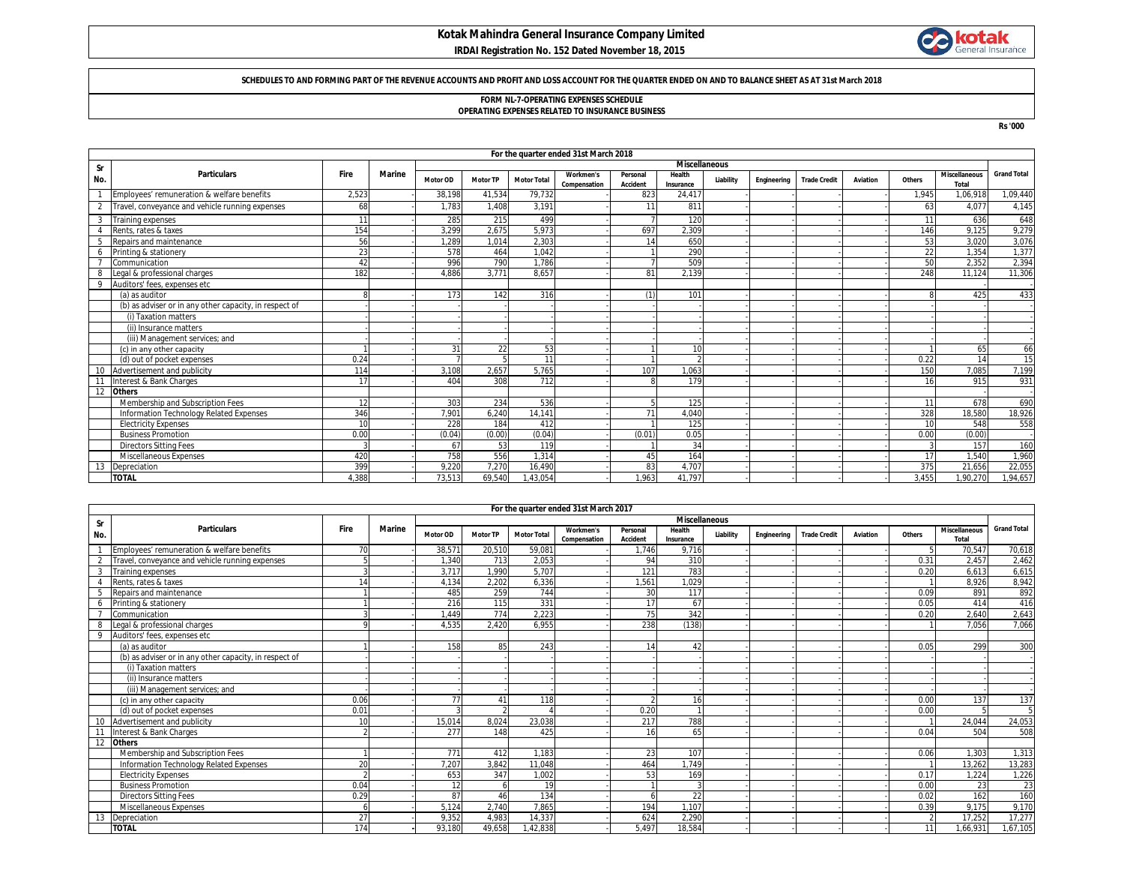## **Kotak Mahindra General Insurance Company Limited IRDAI Registration No. 152 Dated November 18, 2015**



### **SCHEDULES TO AND FORMING PART OF THE REVENUE ACCOUNTS AND PROFIT AND LOSS ACCOUNT FOR THE QUARTER ENDED ON AND TO BALANCE SHEET AS AT 31st March 2018**

# **FORM NL-7-OPERATING EXPENSES SCHEDULE**

**OPERATING EXPENSES RELATED TO INSURANCE BUSINESS**

**Rs '000**

|     | For the quarter ended 31st March 2018                  |                |               |          |                 |                    |                           |                             |                     |                      |             |                     |                 |               |                               |                    |
|-----|--------------------------------------------------------|----------------|---------------|----------|-----------------|--------------------|---------------------------|-----------------------------|---------------------|----------------------|-------------|---------------------|-----------------|---------------|-------------------------------|--------------------|
| Sr  |                                                        |                |               |          |                 |                    |                           |                             |                     | <b>Miscellaneous</b> |             |                     |                 |               |                               |                    |
| No. | <b>Particulars</b>                                     | Fire           | <b>Marine</b> | Motor OD | <b>Motor TP</b> | <b>Motor Total</b> | Workmen's<br>Compensation | Personal<br><b>Accident</b> | Health<br>Insurance | Liability            | Engineering | <b>Trade Credit</b> | <b>Aviation</b> | Others        | <b>Miscellaneous</b><br>Total | <b>Grand Total</b> |
|     | Employees' remuneration & welfare benefits             | 2,523          |               | 38,198   | 41.534          | 79,732             |                           | 823                         | 24,417              |                      |             |                     |                 | 1.945         | 1.06.918                      | 1,09,440           |
|     | Travel, conveyance and vehicle running expenses        | 68             |               | 1.783    | 1.408           | 3.191              |                           | 11                          | 811                 |                      |             |                     |                 | 63            | 4.077                         | 4,145              |
|     | <b>Training expenses</b>                               | 11             |               | 285      | 215             | 499                |                           |                             | 120                 |                      |             |                     |                 | 11            | 636                           | 648                |
|     | Rents, rates & taxes                                   | 154            |               | 3,299    | 2,675           | 5,973              |                           | 697                         | 2,309               |                      |             |                     |                 | 146           | 9,125                         | 9,279              |
|     | Repairs and maintenance                                | 56             |               | 1.289    | 1.014           | 2,303              |                           | 14                          | 650                 |                      |             |                     |                 | 53            | 3.020                         | 3,076              |
|     | Printing & stationery                                  | 23             |               | 578      | 464             | 1,042              |                           |                             | 290                 |                      |             |                     |                 | 22            | 1.354                         | 1,377              |
|     | Communication                                          | 42             |               | 996      | 790             | 1.786              |                           |                             | 509                 |                      |             |                     |                 | 50            | 2,352                         | 2,394              |
|     | Legal & professional charges                           | 182            |               | 4.886    | 3,771           | 8,657              |                           | 81                          | 2,139               |                      |             |                     |                 | 248           | 11,124                        | 11,306             |
| 9   | Auditors' fees, expenses etc                           |                |               |          |                 |                    |                           |                             |                     |                      |             |                     |                 |               |                               |                    |
|     | (a) as auditor                                         |                |               | 173      | 142             | 316                |                           | (1)                         | 101                 |                      |             |                     |                 | R             | 425                           | 433                |
|     | (b) as adviser or in any other capacity, in respect of |                |               |          |                 |                    |                           |                             |                     |                      |             |                     |                 |               |                               |                    |
|     | (i) Taxation matters                                   |                |               |          |                 |                    |                           |                             |                     |                      |             |                     |                 |               |                               |                    |
|     | (ii) Insurance matters                                 |                |               |          |                 |                    |                           |                             |                     |                      |             |                     |                 |               |                               |                    |
|     | (iii) Management services; and                         |                |               |          |                 |                    |                           |                             |                     |                      |             |                     |                 |               |                               |                    |
|     | (c) in any other capacity                              |                |               | 31       | 22              | 53                 |                           |                             | 10                  |                      |             |                     |                 |               | 65                            | 66                 |
|     | (d) out of pocket expenses                             | 0.24           |               |          |                 | 11                 |                           |                             |                     |                      |             |                     |                 | 0.22          | 14                            | 15                 |
|     | Advertisement and publicity                            | 114            |               | 3.108    | 2.657           | 5.765              |                           | 107                         | 1.063               |                      |             |                     |                 | 150           | 7.085                         | 7,199              |
|     | Interest & Bank Charges                                | 17             |               | 404      | 308             | 712                |                           |                             | 179                 |                      |             |                     |                 | 16            | 915                           | 931                |
|     | 12 Others                                              |                |               |          |                 |                    |                           |                             |                     |                      |             |                     |                 |               |                               |                    |
|     | Membership and Subscription Fees                       | 12             |               | 303      | 234             | 536                |                           |                             | 125                 |                      |             |                     |                 | 11            | 678                           | 690                |
|     | Information Technology Related Expenses                | 346            |               | 7,901    | 6.240           | 14,141             |                           | 71                          | 4,040               |                      |             |                     |                 | 328           | 18,580                        | 18,926             |
|     | <b>Electricity Expenses</b>                            | 1 <sup>c</sup> |               | 228      | 184             | 412                |                           |                             | 125                 |                      |             |                     |                 | 10            | 548                           | 558                |
|     | <b>Business Promotion</b>                              | 0.00           |               | (0.04)   | (0.00)          | (0.04)             |                           | (0.01)                      | 0.05                |                      |             |                     |                 | 0.00          | (0.00)                        |                    |
|     | <b>Directors Sitting Fees</b>                          |                |               | 67       | 53              | 119                |                           |                             | 34                  |                      |             |                     |                 | $\mathcal{R}$ | 157                           | 160                |
|     | Miscellaneous Expenses                                 | 420            |               | 758      | 556             | 1.314              |                           | 45                          | 164                 |                      |             |                     |                 | 17            | 1.540                         | 1,960              |
|     | Depreciation                                           | 399            |               | 9.220    | 7.270           | 16.490             |                           | 83                          | 4.707               |                      |             |                     |                 | 375           | 21.656                        | 22,055             |
|     | <b>TOTAL</b>                                           | 4.388          |               | 73,513   | 69,540          | ,43,054            |                           | 1.963                       | 41,797              |                      |             |                     |                 | 3.455         | 1,90,270                      | 1,94,657           |

|                 | For the quarter ended 31st March 2017                  |             |               |          |                 |                    |                           |                             |                      |           |             |                     |          |               |                                      |                    |
|-----------------|--------------------------------------------------------|-------------|---------------|----------|-----------------|--------------------|---------------------------|-----------------------------|----------------------|-----------|-------------|---------------------|----------|---------------|--------------------------------------|--------------------|
| <b>Sr</b>       |                                                        |             |               |          |                 |                    |                           |                             | <b>Miscellaneous</b> |           |             |                     |          |               |                                      |                    |
| No.             | <b>Particulars</b>                                     | <b>Fire</b> | <b>Marine</b> | Motor OD | <b>Motor TP</b> | <b>Motor Total</b> | Workmen's<br>Compensation | Personal<br><b>Accident</b> | Health<br>Insurance  | Liability | Engineering | <b>Trade Credit</b> | Aviation | Others        | <b>Miscellaneous</b><br><b>Total</b> | <b>Grand Total</b> |
|                 | Employees' remuneration & welfare benefits             | 70          |               | 38,571   | 20,510          | 59,081             |                           | 1.746                       | 9.716                |           |             |                     |          |               | 70,547                               | 70,618             |
|                 | Travel, conveyance and vehicle running expenses        |             |               | 1.340    | 713             | 2,053              |                           | 94                          | 310                  |           |             |                     |          | 0.31          | 2.457                                | 2,462              |
| 3               | Training expenses                                      |             |               | 3,717    | 1.990           | 5,707              |                           | 121                         | 783                  |           |             |                     |          | 0.20          | 6.613                                | 6,615              |
|                 | Rents, rates & taxes                                   | 14          |               | 4.134    | 2.202           | 6,336              |                           | .561                        | 1.029                |           |             |                     |          |               | 8.926                                | 8,942              |
|                 | Repairs and maintenance                                |             |               | 485      | 259             | 744                |                           | 30                          | 117                  |           |             |                     |          | 0.09          | 891                                  | 892                |
| 6               | Printing & stationery                                  |             |               | 216      | 115             | 331                |                           | 17                          | 67                   |           |             |                     |          | 0.05          | 414                                  | 416                |
|                 | Communication                                          |             |               | 1.449    | 774             | 2,223              |                           | 75                          | 342                  |           |             |                     |          | 0.20          | 2,640                                | 2,643              |
| 8               | Legal & professional charges                           |             |               | 4.535    | 2.420           | 6.955              |                           | 238                         | (138)                |           |             |                     |          |               | 7.056                                | 7,066              |
| 9               | Auditors' fees, expenses etc                           |             |               |          |                 |                    |                           |                             |                      |           |             |                     |          |               |                                      |                    |
|                 | (a) as auditor                                         |             |               | 158      | 85              | 243                |                           | 14                          | 42                   |           |             |                     |          | 0.05          | 299                                  | 300                |
|                 | (b) as adviser or in any other capacity, in respect of |             |               |          |                 |                    |                           |                             |                      |           |             |                     |          |               |                                      |                    |
|                 | (i) Taxation matters                                   |             |               |          |                 |                    |                           |                             |                      |           |             |                     |          |               |                                      |                    |
|                 | (ii) Insurance matters                                 |             |               |          |                 |                    |                           |                             |                      |           |             |                     |          |               |                                      |                    |
|                 | (iii) Management services; and                         |             |               |          |                 |                    |                           |                             |                      |           |             |                     |          |               |                                      |                    |
|                 | (c) in any other capacity                              | 0.06        |               | 77       | 41              | 118                |                           |                             | 16                   |           |             |                     |          | 0.00          | 137                                  | 137                |
|                 | (d) out of pocket expenses                             | 0.01        |               |          |                 |                    |                           | 0.20                        |                      |           |             |                     |          | 0.00          |                                      |                    |
| 10 <sup>°</sup> | Advertisement and publicity                            | 10          |               | 15.014   | 8.024           | 23,038             |                           | 217                         | 788                  |           |             |                     |          |               | 24,044                               | 24,053             |
|                 | Interest & Bank Charges                                |             |               | 277      | 148             | 425                |                           | 16                          | 65                   |           |             |                     |          | 0.04          | 504                                  | 508                |
| 12              | <b>Others</b>                                          |             |               |          |                 |                    |                           |                             |                      |           |             |                     |          |               |                                      |                    |
|                 | Membership and Subscription Fees                       |             |               | 771      | 412             | 1.183              |                           | 23                          | 107                  |           |             |                     |          | 0.06          | 1,303                                | 1,313              |
|                 | Information Technology Related Expenses                | 20          |               | 7.207    | 3.842           | 11.048             |                           | 464                         | 1.749                |           |             |                     |          |               | 13.262                               | 13,283             |
|                 | <b>Electricity Expenses</b>                            |             |               | 653      | 347             | 1,002              |                           | 53                          | 169                  |           |             |                     |          | 0.17          | 1,224                                | 1,226              |
|                 | <b>Business Promotion</b>                              | 0.04        |               |          |                 | 19                 |                           |                             |                      |           |             |                     |          | 0.00          | 23                                   | 23                 |
|                 | <b>Directors Sitting Fees</b>                          | 0.29        |               | 87       | 46              | 134                |                           |                             | 22                   |           |             |                     |          | 0.02          | 162                                  | 160                |
|                 | <b>Miscellaneous Expenses</b>                          |             |               | 5,124    | 2,740           | 7,865              |                           | 194                         | 1,107                |           |             |                     |          | 0.39          | 9,175                                | 9,170              |
| 13              | Depreciation                                           | 27          |               | 9.352    | 4.983           | 14,337             |                           | 624                         | 2.290                |           |             |                     |          | $\mathcal{P}$ | 17,252                               | 17,277             |
|                 | <b>TOTAL</b>                                           | 174         |               | 93,180   | 49,658          | 1,42,838           |                           | 5.497                       | 18,584               |           |             |                     |          | 11            | 1,66,931                             | 1,67,105           |